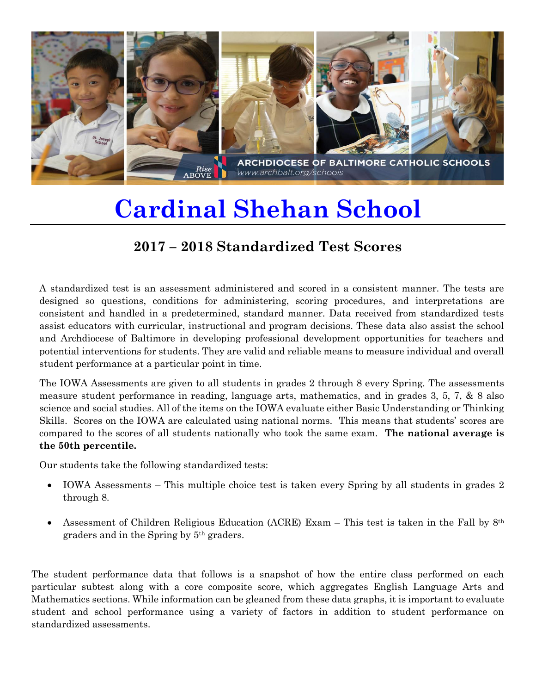

## **Cardinal Shehan School**

## **2017 – 2018 Standardized Test Scores**

A standardized test is an assessment administered and scored in a consistent manner. The tests are designed so questions, conditions for administering, scoring procedures, and interpretations are consistent and handled in a predetermined, standard manner. Data received from standardized tests assist educators with curricular, instructional and program decisions. These data also assist the school and Archdiocese of Baltimore in developing professional development opportunities for teachers and potential interventions for students. They are valid and reliable means to measure individual and overall student performance at a particular point in time.

The IOWA Assessments are given to all students in grades 2 through 8 every Spring. The assessments measure student performance in reading, language arts, mathematics, and in grades 3, 5, 7, & 8 also science and social studies. All of the items on the IOWA evaluate either Basic Understanding or Thinking Skills. Scores on the IOWA are calculated using national norms. This means that students' scores are compared to the scores of all students nationally who took the same exam. **The national average is the 50th percentile.**

Our students take the following standardized tests:

- IOWA Assessments This multiple choice test is taken every Spring by all students in grades 2 through 8.
- Assessment of Children Religious Education (ACRE) Exam This test is taken in the Fall by  $8<sup>th</sup>$ graders and in the Spring by 5th graders.

The student performance data that follows is a snapshot of how the entire class performed on each particular subtest along with a core composite score, which aggregates English Language Arts and Mathematics sections. While information can be gleaned from these data graphs, it is important to evaluate student and school performance using a variety of factors in addition to student performance on standardized assessments.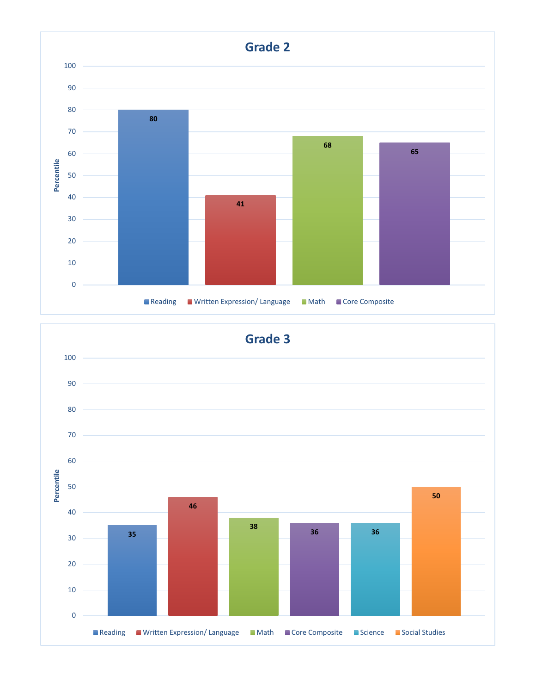

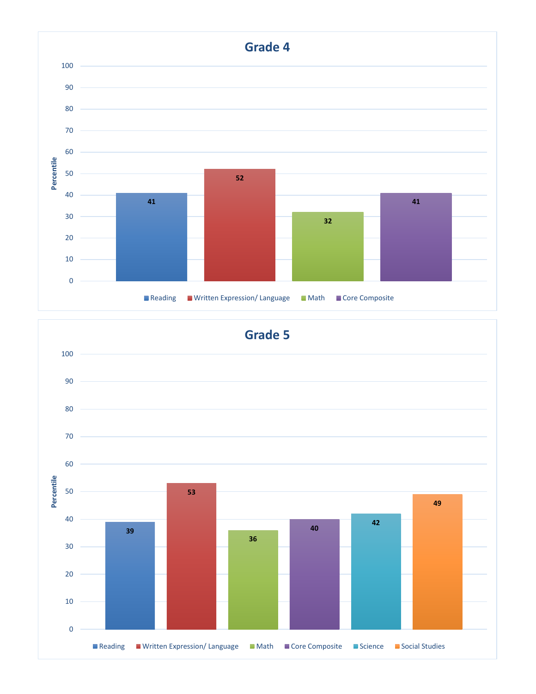

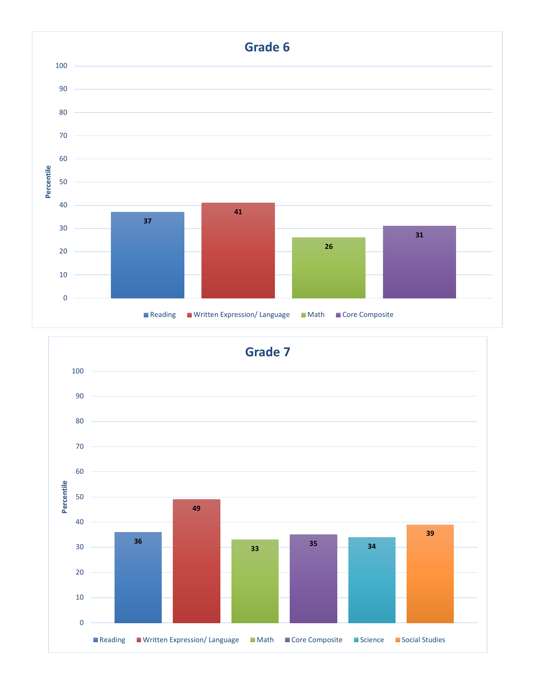

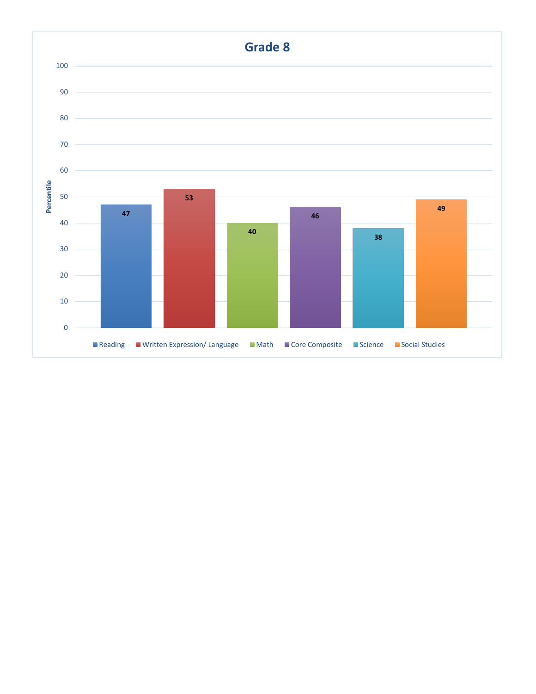